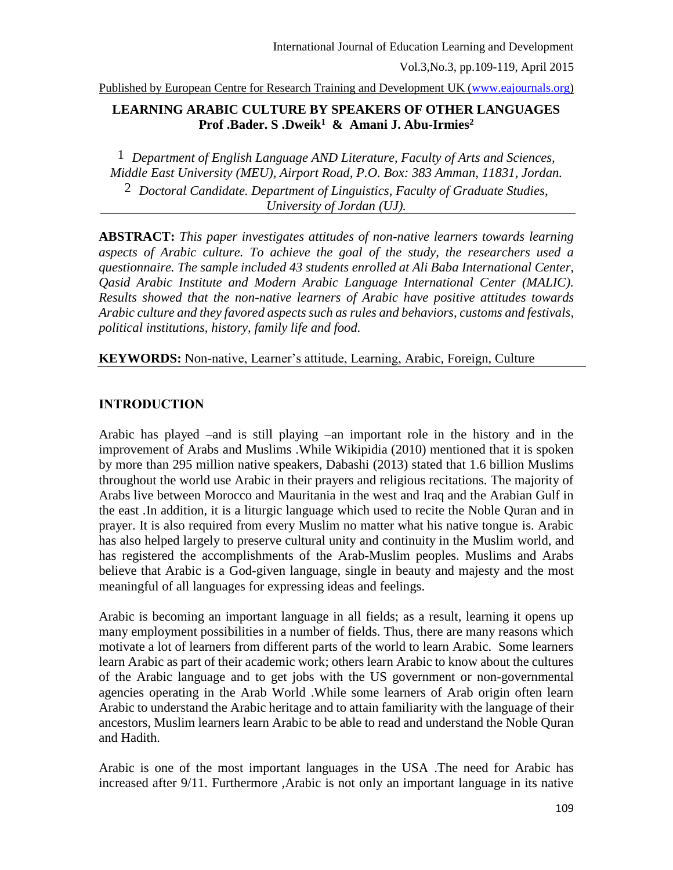Published by European Centre for Research Training and Development UK [\(www.eajournals.org\)](http://www.eajournals.org/)

## **LEARNING ARABIC CULTURE BY SPEAKERS OF OTHER LANGUAGES Prof .Bader. S .Dweik<sup>1</sup> & Amani J. Abu-Irmies<sup>2</sup>**

1 *Department of English Language AND Literature, Faculty of Arts and Sciences, Middle East University (MEU), Airport Road, P.O. Box: 383 Amman, 11831, Jordan.*  2 *Doctoral Candidate. Department of Linguistics, Faculty of Graduate Studies, University of Jordan (UJ).*

**ABSTRACT:** *This paper investigates attitudes of non-native learners towards learning aspects of Arabic culture. To achieve the goal of the study, the researchers used a questionnaire. The sample included 43 students enrolled at Ali Baba International Center, Qasid Arabic Institute and Modern Arabic Language International Center (MALIC). Results showed that the non-native learners of Arabic have positive attitudes towards Arabic culture and they favored aspects such as rules and behaviors, customs and festivals, political institutions, history, family life and food.*

**KEYWORDS:** Non-native, Learner's attitude, Learning, Arabic, Foreign, Culture

#### **INTRODUCTION**

Arabic has played –and is still playing –an important role in the history and in the improvement of Arabs and Muslims .While Wikipidia (2010) mentioned that it is spoken by more than 295 million native speakers, Dabashi (2013) stated that 1.6 billion Muslims throughout the world use Arabic in their prayers and religious recitations. The majority of Arabs live between Morocco and Mauritania in the west and Iraq and the Arabian Gulf in the east .In addition, it is a liturgic language which used to recite the Noble Quran and in prayer. It is also required from every Muslim no matter what his native tongue is. Arabic has also helped largely to preserve cultural unity and continuity in the Muslim world, and has registered the accomplishments of the Arab-Muslim peoples. Muslims and Arabs believe that Arabic is a God-given language, single in beauty and majesty and the most meaningful of all languages for expressing ideas and feelings.

Arabic is becoming an important language in all fields; as a result, learning it opens up many employment possibilities in a number of fields. Thus, there are many reasons which motivate a lot of learners from different parts of the world to learn Arabic. Some learners learn Arabic as part of their academic work; others learn Arabic to know about the cultures of the Arabic language and to get jobs with the US government or non-governmental agencies operating in the Arab World .While some learners of Arab origin often learn Arabic to understand the Arabic heritage and to attain familiarity with the language of their ancestors, Muslim learners learn Arabic to be able to read and understand the Noble Quran and Hadith.

Arabic is one of the most important languages in the USA .The need for Arabic has increased after 9/11. Furthermore ,Arabic is not only an important language in its native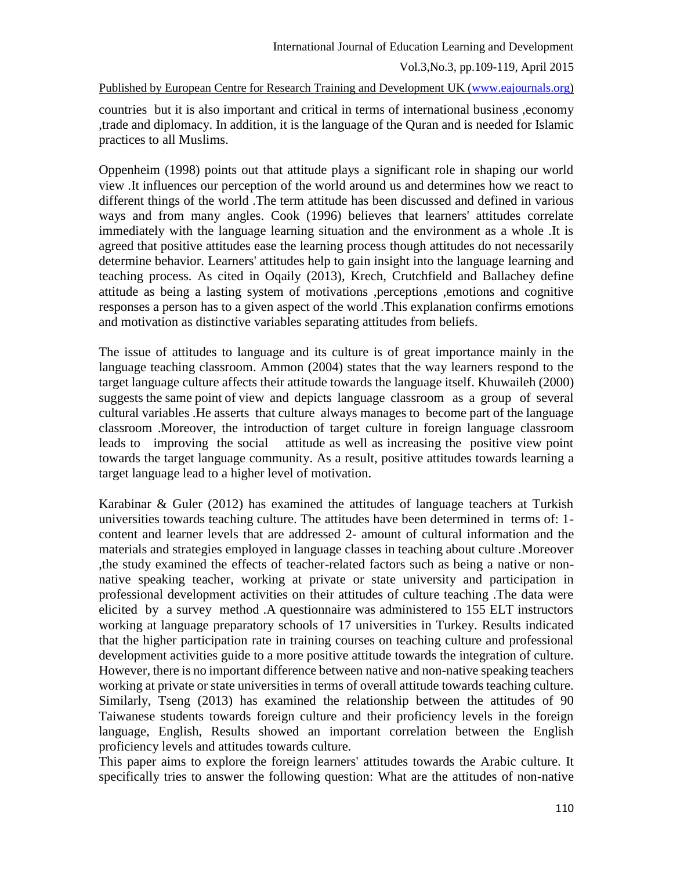Published by European Centre for Research Training and Development UK [\(www.eajournals.org\)](http://www.eajournals.org/)

countries but it is also important and critical in terms of international business ,economy ,trade and diplomacy. In addition, it is the language of the Quran and is needed for Islamic practices to all Muslims.

Oppenheim (1998) points out that attitude plays a significant role in shaping our world view .It influences our perception of the world around us and determines how we react to different things of the world .The term attitude has been discussed and defined in various ways and from many angles. Cook (1996) believes that learners' attitudes correlate immediately with the language learning situation and the environment as a whole .It is agreed that positive attitudes ease the learning process though attitudes do not necessarily determine behavior. Learners' attitudes help to gain insight into the language learning and teaching process. As cited in Oqaily (2013), Krech, Crutchfield and Ballachey define attitude as being a lasting system of motivations ,perceptions ,emotions and cognitive responses a person has to a given aspect of the world .This explanation confirms emotions and motivation as distinctive variables separating attitudes from beliefs.

The issue of attitudes to language and its culture is of great importance mainly in the language teaching classroom. Ammon (2004) states that the way learners respond to the target language culture affects their attitude towards the language itself. Khuwaileh (2000) suggests the same point of view and depicts language classroom as a group of several cultural variables .He asserts that culture always manages to become part of the language classroom .Moreover, the introduction of target culture in foreign language classroom leads to improving the social attitude as well as increasing the positive view point towards the target language community. As a result, positive attitudes towards learning a target language lead to a higher level of motivation.

Karabinar & Guler (2012) has examined the attitudes of language teachers at Turkish universities towards teaching culture. The attitudes have been determined in terms of: 1 content and learner levels that are addressed 2- amount of cultural information and the materials and strategies employed in language classes in teaching about culture .Moreover ,the study examined the effects of teacher-related factors such as being a native or nonnative speaking teacher, working at private or state university and participation in professional development activities on their attitudes of culture teaching .The data were elicited by a survey method .A questionnaire was administered to 155 ELT instructors working at language preparatory schools of 17 universities in Turkey. Results indicated that the higher participation rate in training courses on teaching culture and professional development activities guide to a more positive attitude towards the integration of culture. However, there is no important difference between native and non-native speaking teachers working at private or state universities in terms of overall attitude towards teaching culture. Similarly, Tseng (2013) has examined the relationship between the attitudes of 90 Taiwanese students towards foreign culture and their proficiency levels in the foreign language, English, Results showed an important correlation between the English proficiency levels and attitudes towards culture.

This paper aims to explore the foreign learners' attitudes towards the Arabic culture. It specifically tries to answer the following question: What are the attitudes of non-native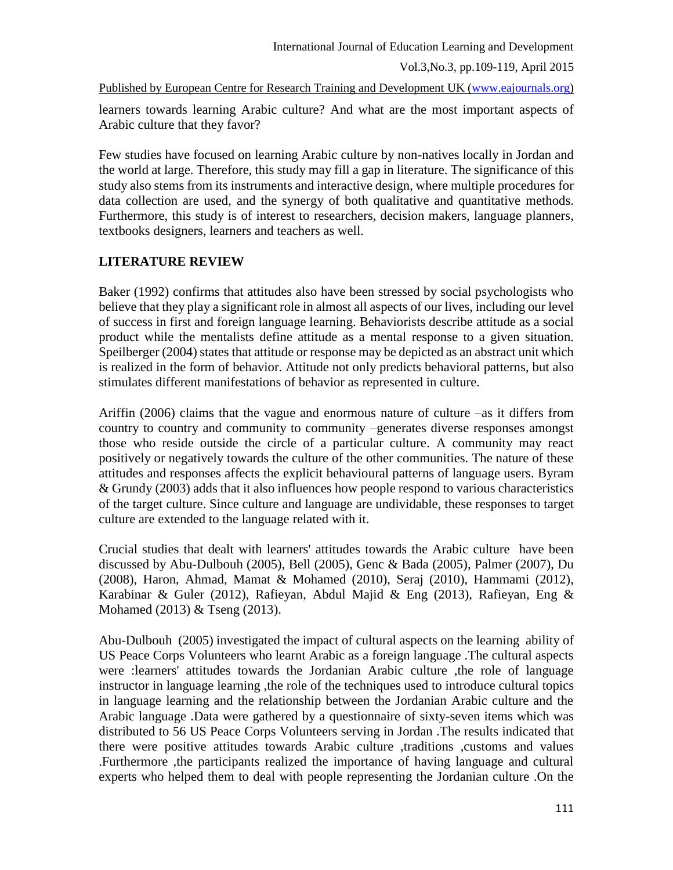Published by European Centre for Research Training and Development UK [\(www.eajournals.org\)](http://www.eajournals.org/)

learners towards learning Arabic culture? And what are the most important aspects of Arabic culture that they favor?

Few studies have focused on learning Arabic culture by non-natives locally in Jordan and the world at large. Therefore, this study may fill a gap in literature. The significance of this study also stems from its instruments and interactive design, where multiple procedures for data collection are used, and the synergy of both qualitative and quantitative methods. Furthermore, this study is of interest to researchers, decision makers, language planners, textbooks designers, learners and teachers as well.

# **LITERATURE REVIEW**

Baker (1992) confirms that attitudes also have been stressed by social psychologists who believe that they play a significant role in almost all aspects of our lives, including our level of success in first and foreign language learning. Behaviorists describe attitude as a social product while the mentalists define attitude as a mental response to a given situation. Speilberger (2004) states that attitude or response may be depicted as an abstract unit which is realized in the form of behavior. Attitude not only predicts behavioral patterns, but also stimulates different manifestations of behavior as represented in culture.

Ariffin (2006) claims that the vague and enormous nature of culture –as it differs from country to country and community to community –generates diverse responses amongst those who reside outside the circle of a particular culture. A community may react positively or negatively towards the culture of the other communities. The nature of these attitudes and responses affects the explicit behavioural patterns of language users. Byram & Grundy (2003) adds that it also influences how people respond to various characteristics of the target culture. Since culture and language are undividable, these responses to target culture are extended to the language related with it.

Crucial studies that dealt with learners' attitudes towards the Arabic culture have been discussed by Abu-Dulbouh (2005), Bell (2005), Genc & Bada (2005), Palmer (2007), Du (2008), Haron, Ahmad, Mamat & Mohamed (2010), Seraj (2010), Hammami (2012), Karabinar & Guler (2012), Rafieyan, Abdul Majid & Eng (2013), Rafieyan, Eng & Mohamed (2013) & Tseng (2013).

Abu-Dulbouh (2005) investigated the impact of cultural aspects on the learning ability of US Peace Corps Volunteers who learnt Arabic as a foreign language .The cultural aspects were :learners' attitudes towards the Jordanian Arabic culture ,the role of language instructor in language learning ,the role of the techniques used to introduce cultural topics in language learning and the relationship between the Jordanian Arabic culture and the Arabic language .Data were gathered by a questionnaire of sixty-seven items which was distributed to 56 US Peace Corps Volunteers serving in Jordan .The results indicated that there were positive attitudes towards Arabic culture ,traditions ,customs and values .Furthermore ,the participants realized the importance of having language and cultural experts who helped them to deal with people representing the Jordanian culture .On the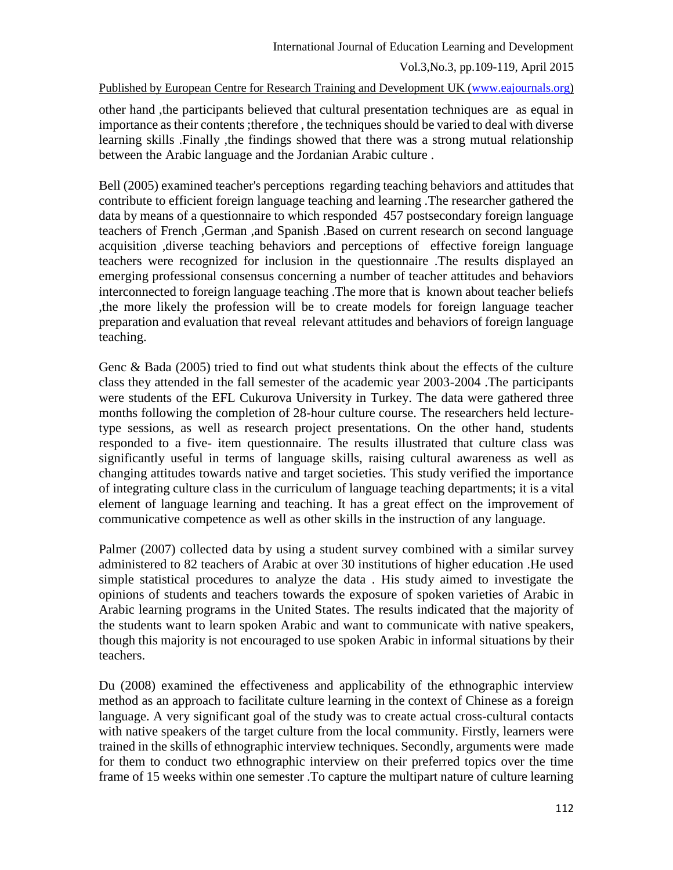Published by European Centre for Research Training and Development UK [\(www.eajournals.org\)](http://www.eajournals.org/)

other hand ,the participants believed that cultural presentation techniques are as equal in importance as their contents ;therefore , the techniques should be varied to deal with diverse learning skills .Finally ,the findings showed that there was a strong mutual relationship between the Arabic language and the Jordanian Arabic culture .

Bell (2005) examined teacher's perceptions regarding teaching behaviors and attitudes that contribute to efficient foreign language teaching and learning .The researcher gathered the data by means of a questionnaire to which responded 457 postsecondary foreign language teachers of French ,German ,and Spanish .Based on current research on second language acquisition ,diverse teaching behaviors and perceptions of effective foreign language teachers were recognized for inclusion in the questionnaire .The results displayed an emerging professional consensus concerning a number of teacher attitudes and behaviors interconnected to foreign language teaching .The more that is known about teacher beliefs ,the more likely the profession will be to create models for foreign language teacher preparation and evaluation that reveal relevant attitudes and behaviors of foreign language teaching.

Genc & Bada (2005) tried to find out what students think about the effects of the culture class they attended in the fall semester of the academic year 2003-2004 .The participants were students of the EFL Cukurova University in Turkey. The data were gathered three months following the completion of 28-hour culture course. The researchers held lecturetype sessions, as well as research project presentations. On the other hand, students responded to a five- item questionnaire. The results illustrated that culture class was significantly useful in terms of language skills, raising cultural awareness as well as changing attitudes towards native and target societies. This study verified the importance of integrating culture class in the curriculum of language teaching departments; it is a vital element of language learning and teaching. It has a great effect on the improvement of communicative competence as well as other skills in the instruction of any language.

Palmer (2007) collected data by using a student survey combined with a similar survey administered to 82 teachers of Arabic at over 30 institutions of higher education .He used simple statistical procedures to analyze the data . His study aimed to investigate the opinions of students and teachers towards the exposure of spoken varieties of Arabic in Arabic learning programs in the United States. The results indicated that the majority of the students want to learn spoken Arabic and want to communicate with native speakers, though this majority is not encouraged to use spoken Arabic in informal situations by their teachers.

Du (2008) examined the effectiveness and applicability of the ethnographic interview method as an approach to facilitate culture learning in the context of Chinese as a foreign language. A very significant goal of the study was to create actual cross-cultural contacts with native speakers of the target culture from the local community. Firstly, learners were trained in the skills of ethnographic interview techniques. Secondly, arguments were made for them to conduct two ethnographic interview on their preferred topics over the time frame of 15 weeks within one semester .To capture the multipart nature of culture learning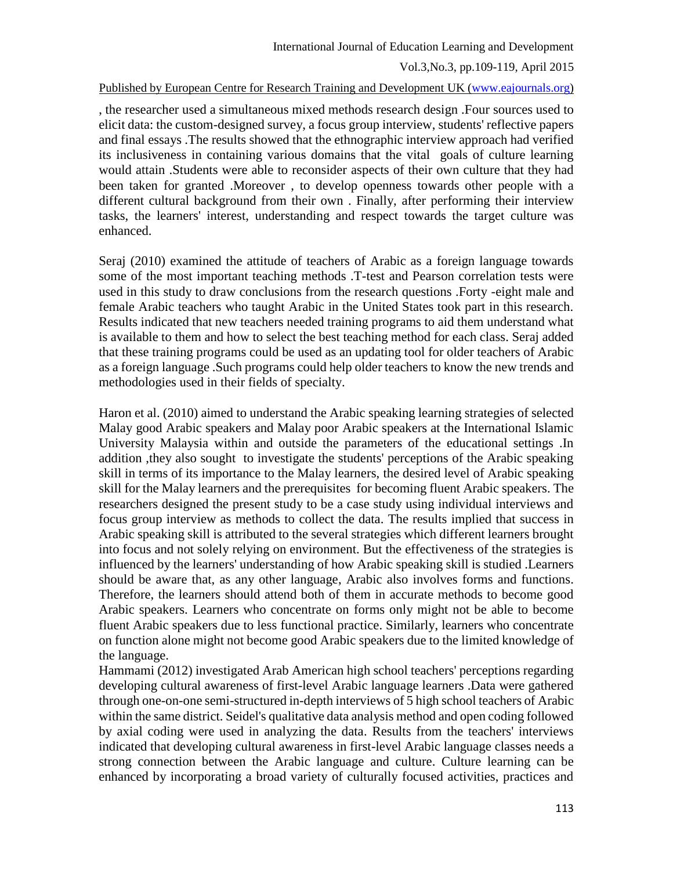#### International Journal of Education Learning and Development

Vol.3,No.3, pp.109-119, April 2015

Published by European Centre for Research Training and Development UK [\(www.eajournals.org\)](http://www.eajournals.org/)

, the researcher used a simultaneous mixed methods research design .Four sources used to elicit data: the custom-designed survey, a focus group interview, students' reflective papers and final essays .The results showed that the ethnographic interview approach had verified its inclusiveness in containing various domains that the vital goals of culture learning would attain .Students were able to reconsider aspects of their own culture that they had been taken for granted .Moreover , to develop openness towards other people with a different cultural background from their own . Finally, after performing their interview tasks, the learners' interest, understanding and respect towards the target culture was enhanced.

Seraj (2010) examined the attitude of teachers of Arabic as a foreign language towards some of the most important teaching methods .T-test and Pearson correlation tests were used in this study to draw conclusions from the research questions .Forty -eight male and female Arabic teachers who taught Arabic in the United States took part in this research. Results indicated that new teachers needed training programs to aid them understand what is available to them and how to select the best teaching method for each class. Seraj added that these training programs could be used as an updating tool for older teachers of Arabic as a foreign language .Such programs could help older teachers to know the new trends and methodologies used in their fields of specialty.

Haron et al. (2010) aimed to understand the Arabic speaking learning strategies of selected Malay good Arabic speakers and Malay poor Arabic speakers at the International Islamic University Malaysia within and outside the parameters of the educational settings .In addition ,they also sought to investigate the students' perceptions of the Arabic speaking skill in terms of its importance to the Malay learners, the desired level of Arabic speaking skill for the Malay learners and the prerequisites for becoming fluent Arabic speakers. The researchers designed the present study to be a case study using individual interviews and focus group interview as methods to collect the data. The results implied that success in Arabic speaking skill is attributed to the several strategies which different learners brought into focus and not solely relying on environment. But the effectiveness of the strategies is influenced by the learners' understanding of how Arabic speaking skill is studied .Learners should be aware that, as any other language, Arabic also involves forms and functions. Therefore, the learners should attend both of them in accurate methods to become good Arabic speakers. Learners who concentrate on forms only might not be able to become fluent Arabic speakers due to less functional practice. Similarly, learners who concentrate on function alone might not become good Arabic speakers due to the limited knowledge of the language.

Hammami (2012) investigated Arab American high school teachers' perceptions regarding developing cultural awareness of first-level Arabic language learners .Data were gathered through one-on-one semi-structured in-depth interviews of 5 high school teachers of Arabic within the same district. Seidel's qualitative data analysis method and open coding followed by axial coding were used in analyzing the data. Results from the teachers' interviews indicated that developing cultural awareness in first-level Arabic language classes needs a strong connection between the Arabic language and culture. Culture learning can be enhanced by incorporating a broad variety of culturally focused activities, practices and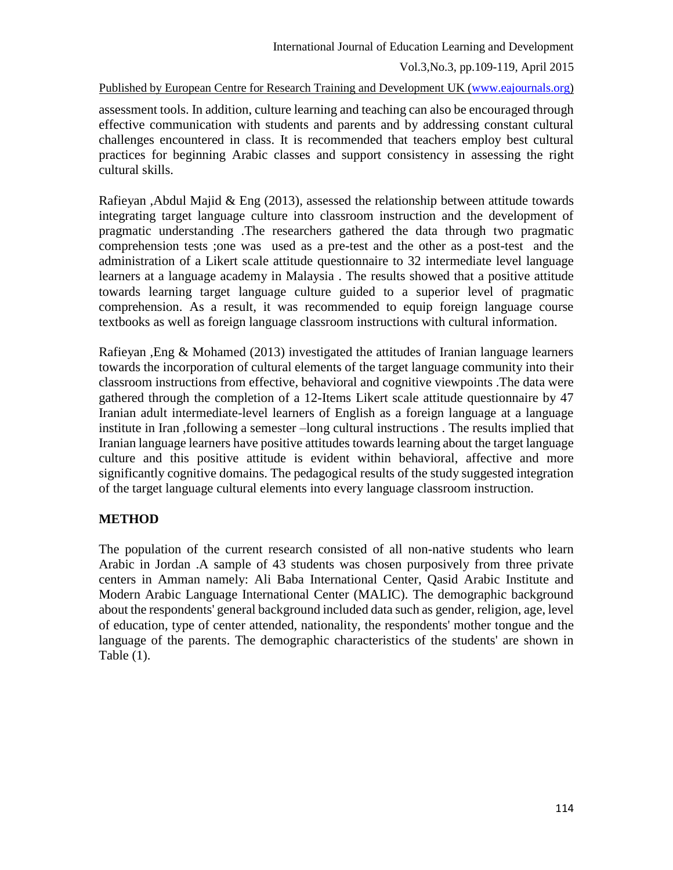Published by European Centre for Research Training and Development UK [\(www.eajournals.org\)](http://www.eajournals.org/)

assessment tools. In addition, culture learning and teaching can also be encouraged through effective communication with students and parents and by addressing constant cultural challenges encountered in class. It is recommended that teachers employ best cultural practices for beginning Arabic classes and support consistency in assessing the right cultural skills.

Rafieyan ,Abdul Majid & Eng (2013), assessed the relationship between attitude towards integrating target language culture into classroom instruction and the development of pragmatic understanding .The researchers gathered the data through two pragmatic comprehension tests ;one was used as a pre-test and the other as a post-test and the administration of a Likert scale attitude questionnaire to 32 intermediate level language learners at a language academy in Malaysia . The results showed that a positive attitude towards learning target language culture guided to a superior level of pragmatic comprehension. As a result, it was recommended to equip foreign language course textbooks as well as foreign language classroom instructions with cultural information.

Rafieyan ,Eng & Mohamed (2013) investigated the attitudes of Iranian language learners towards the incorporation of cultural elements of the target language community into their classroom instructions from effective, behavioral and cognitive viewpoints .The data were gathered through the completion of a 12-Items Likert scale attitude questionnaire by 47 Iranian adult intermediate-level learners of English as a foreign language at a language institute in Iran ,following a semester –long cultural instructions . The results implied that Iranian language learners have positive attitudes towards learning about the target language culture and this positive attitude is evident within behavioral, affective and more significantly cognitive domains. The pedagogical results of the study suggested integration of the target language cultural elements into every language classroom instruction.

## **METHOD**

The population of the current research consisted of all non-native students who learn Arabic in Jordan .A sample of 43 students was chosen purposively from three private centers in Amman namely: Ali Baba International Center, Qasid Arabic Institute and Modern Arabic Language International Center (MALIC). The demographic background about the respondents' general background included data such as gender, religion, age, level of education, type of center attended, nationality, the respondents' mother tongue and the language of the parents. The demographic characteristics of the students' are shown in Table (1).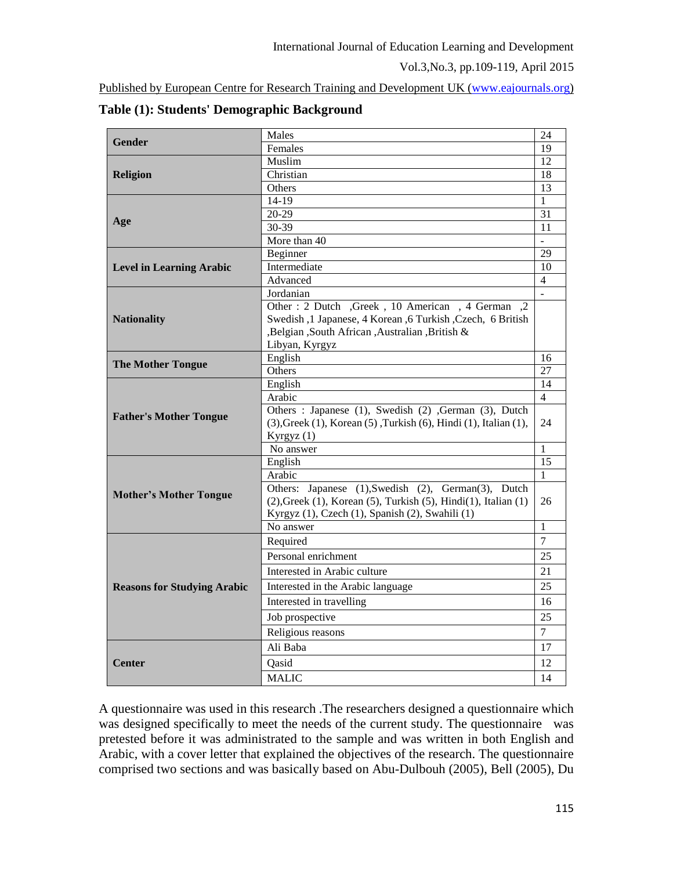Published by European Centre for Research Training and Development UK [\(www.eajournals.org\)](http://www.eajournals.org/)

| <b>Gender</b>                      | Males                                                                              | 24             |  |
|------------------------------------|------------------------------------------------------------------------------------|----------------|--|
|                                    | Females                                                                            | 19             |  |
|                                    | Muslim                                                                             |                |  |
| Religion                           | Christian                                                                          |                |  |
|                                    | Others                                                                             | 13             |  |
|                                    | 14-19                                                                              |                |  |
|                                    | $20-29$                                                                            | 31             |  |
| Age                                | 30-39                                                                              | 11             |  |
|                                    | More than 40                                                                       | $\overline{a}$ |  |
|                                    | Beginner                                                                           |                |  |
| <b>Level in Learning Arabic</b>    | Intermediate                                                                       |                |  |
|                                    | Advanced                                                                           | $\overline{4}$ |  |
|                                    | Jordanian                                                                          | $\overline{a}$ |  |
|                                    | Other : 2 Dutch , Greek , 10 American , 4 German , 2                               |                |  |
| <b>Nationality</b>                 | Swedish, 1 Japanese, 4 Korean, 6 Turkish, Czech, 6 British                         |                |  |
|                                    | ,Belgian ,South African ,Australian ,British &                                     |                |  |
|                                    | Libyan, Kyrgyz                                                                     |                |  |
| <b>The Mother Tongue</b>           | English                                                                            | 16             |  |
|                                    | Others                                                                             | 27             |  |
| <b>Father's Mother Tongue</b>      | English                                                                            | 14             |  |
|                                    | Arabic                                                                             | $\overline{4}$ |  |
|                                    | Others: Japanese (1), Swedish (2) , German (3), Dutch                              |                |  |
|                                    | $(3)$ , Greek $(1)$ , Korean $(5)$ , Turkish $(6)$ , Hindi $(1)$ , Italian $(1)$ , | 24             |  |
|                                    | Kyrgyz (1)                                                                         |                |  |
|                                    | No answer                                                                          | 1              |  |
|                                    | English                                                                            | 15             |  |
|                                    | Arabic                                                                             | $\mathbf{1}$   |  |
| <b>Mother's Mother Tongue</b>      | Others: Japanese (1), Swedish (2), German(3), Dutch                                |                |  |
|                                    | $(2)$ , Greek $(1)$ , Korean $(5)$ , Turkish $(5)$ , Hindi $(1)$ , Italian $(1)$   | 26             |  |
|                                    | Kyrgyz (1), Czech (1), Spanish (2), Swahili (1)<br>No answer                       | $\mathbf{1}$   |  |
|                                    |                                                                                    | $\overline{7}$ |  |
| <b>Reasons for Studying Arabic</b> | Required                                                                           |                |  |
|                                    | Personal enrichment                                                                | 25             |  |
|                                    | Interested in Arabic culture                                                       | 21             |  |
|                                    | Interested in the Arabic language                                                  | 25             |  |
|                                    | Interested in travelling                                                           | 16             |  |
|                                    | Job prospective                                                                    | 25             |  |
|                                    | Religious reasons                                                                  | $\overline{7}$ |  |
|                                    | Ali Baba                                                                           | 17             |  |
|                                    |                                                                                    |                |  |
| <b>Center</b>                      | Qasid                                                                              | 12             |  |
|                                    | <b>MALIC</b>                                                                       | 14             |  |

### **Table (1): Students' Demographic Background**

A questionnaire was used in this research .The researchers designed a questionnaire which was designed specifically to meet the needs of the current study. The questionnaire was pretested before it was administrated to the sample and was written in both English and Arabic, with a cover letter that explained the objectives of the research. The questionnaire comprised two sections and was basically based on Abu-Dulbouh (2005), Bell (2005), Du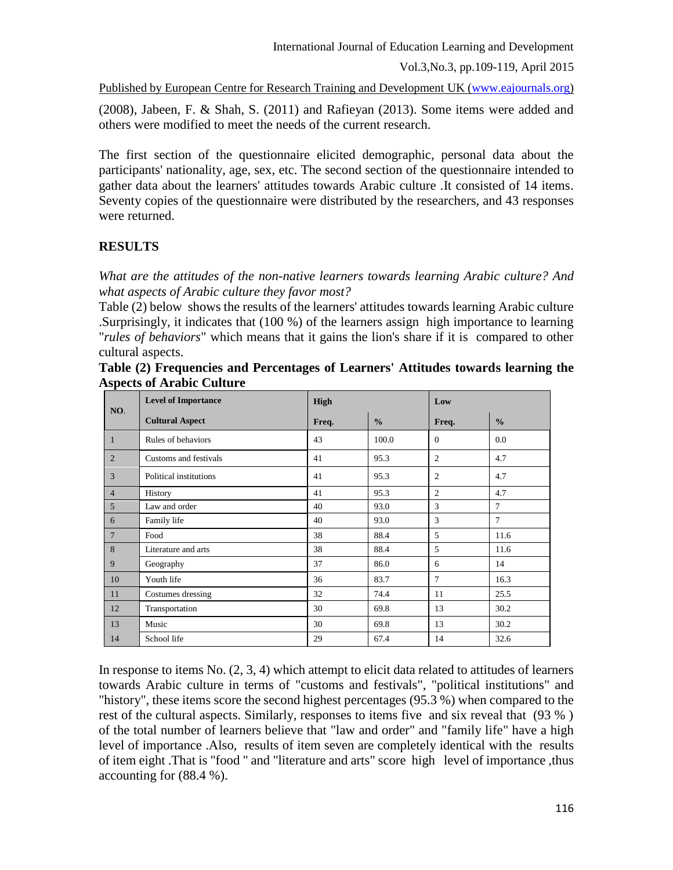Published by European Centre for Research Training and Development UK [\(www.eajournals.org\)](http://www.eajournals.org/)

(2008), Jabeen, F. & Shah, S. (2011) and Rafieyan (2013). Some items were added and others were modified to meet the needs of the current research.

The first section of the questionnaire elicited demographic, personal data about the participants' nationality, age, sex, etc. The second section of the questionnaire intended to gather data about the learners' attitudes towards Arabic culture .It consisted of 14 items. Seventy copies of the questionnaire were distributed by the researchers, and 43 responses were returned.

## **RESULTS**

*What are the attitudes of the non-native learners towards learning Arabic culture? And what aspects of Arabic culture they favor most?*

Table (2) below shows the results of the learners' attitudes towards learning Arabic culture .Surprisingly, it indicates that (100 %) of the learners assign high importance to learning "*rules of behaviors*" which means that it gains the lion's share if it is compared to other cultural aspects.

| NO.             | <b>Level of Importance</b> | <b>High</b> |               | Low            |                |
|-----------------|----------------------------|-------------|---------------|----------------|----------------|
|                 | <b>Cultural Aspect</b>     | Freq.       | $\frac{0}{0}$ | Freq.          | $\frac{0}{0}$  |
| $\mathbf{1}$    | Rules of behaviors         | 43          | 100.0         | $\theta$       | 0.0            |
| 2               | Customs and festivals      | 41          | 95.3          | 2              | 4.7            |
| 3               | Political institutions     | 41          | 95.3          | 2              | 4.7            |
| $\overline{4}$  | History                    | 41          | 95.3          | $\overline{2}$ | 4.7            |
| 5 <sup>5</sup>  | Law and order              | 40          | 93.0          | 3              | $\overline{7}$ |
| 6               | Family life                | 40          | 93.0          | 3              | $\overline{7}$ |
| $7\phantom{.0}$ | Food                       | 38          | 88.4          | 5              | 11.6           |
| 8               | Literature and arts        | 38          | 88.4          | 5              | 11.6           |
| 9               | Geography                  | 37          | 86.0          | 6              | 14             |
| 10              | Youth life                 | 36          | 83.7          | $\overline{7}$ | 16.3           |
| 11              | Costumes dressing          | 32          | 74.4          | 11             | 25.5           |
| 12              | Transportation             | 30          | 69.8          | 13             | 30.2           |
| 13              | Music                      | 30          | 69.8          | 13             | 30.2           |
| 14              | School life                | 29          | 67.4          | 14             | 32.6           |

**Table (2) Frequencies and Percentages of Learners' Attitudes towards learning the Aspects of Arabic Culture**

In response to items No.  $(2, 3, 4)$  which attempt to elicit data related to attitudes of learners towards Arabic culture in terms of "customs and festivals", "political institutions" and "history", these items score the second highest percentages (95.3 %) when compared to the rest of the cultural aspects. Similarly, responses to items five and six reveal that (93 % ) of the total number of learners believe that "law and order" and "family life" have a high level of importance .Also, results of item seven are completely identical with the results of item eight .That is "food " and "literature and arts" score high level of importance ,thus accounting for (88.4 %).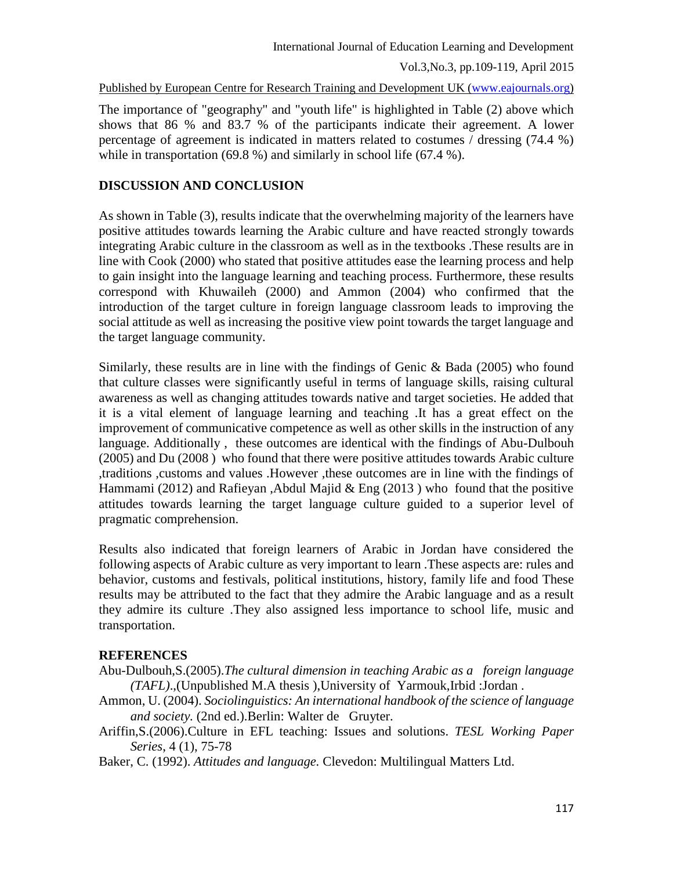Published by European Centre for Research Training and Development UK [\(www.eajournals.org\)](http://www.eajournals.org/)

The importance of "geography" and "youth life" is highlighted in Table (2) above which shows that 86 % and 83.7 % of the participants indicate their agreement. A lower percentage of agreement is indicated in matters related to costumes / dressing (74.4 %) while in transportation (69.8 %) and similarly in school life (67.4 %).

#### **DISCUSSION AND CONCLUSION**

As shown in Table (3), results indicate that the overwhelming majority of the learners have positive attitudes towards learning the Arabic culture and have reacted strongly towards integrating Arabic culture in the classroom as well as in the textbooks .These results are in line with Cook (2000) who stated that positive attitudes ease the learning process and help to gain insight into the language learning and teaching process. Furthermore, these results correspond with Khuwaileh (2000) and Ammon (2004) who confirmed that the introduction of the target culture in foreign language classroom leads to improving the social attitude as well as increasing the positive view point towards the target language and the target language community.

Similarly, these results are in line with the findings of Genic  $\&$  Bada (2005) who found that culture classes were significantly useful in terms of language skills, raising cultural awareness as well as changing attitudes towards native and target societies. He added that it is a vital element of language learning and teaching .It has a great effect on the improvement of communicative competence as well as other skills in the instruction of any language. Additionally , these outcomes are identical with the findings of Abu-Dulbouh (2005) and Du (2008 ) who found that there were positive attitudes towards Arabic culture ,traditions ,customs and values .However ,these outcomes are in line with the findings of Hammami (2012) and Rafieyan ,Abdul Majid & Eng (2013 ) who found that the positive attitudes towards learning the target language culture guided to a superior level of pragmatic comprehension.

Results also indicated that foreign learners of Arabic in Jordan have considered the following aspects of Arabic culture as very important to learn .These aspects are: rules and behavior, customs and festivals, political institutions, history, family life and food These results may be attributed to the fact that they admire the Arabic language and as a result they admire its culture .They also assigned less importance to school life, music and transportation.

#### **REFERENCES**

- Abu-Dulbouh,S.(2005).*The cultural dimension in teaching Arabic as a foreign language (TAFL)*.,(Unpublished M.A thesis ),University of Yarmouk,Irbid :Jordan .
- Ammon, U. (2004). *Sociolinguistics: An international handbook of the science of language and society.* (2nd ed.).Berlin: Walter de Gruyter.
- Ariffin,S.(2006).Culture in EFL teaching: Issues and solutions. *TESL Working Paper Series*, 4 (1), 75-78
- Baker, C. (1992). *Attitudes and language.* Clevedon: Multilingual Matters Ltd.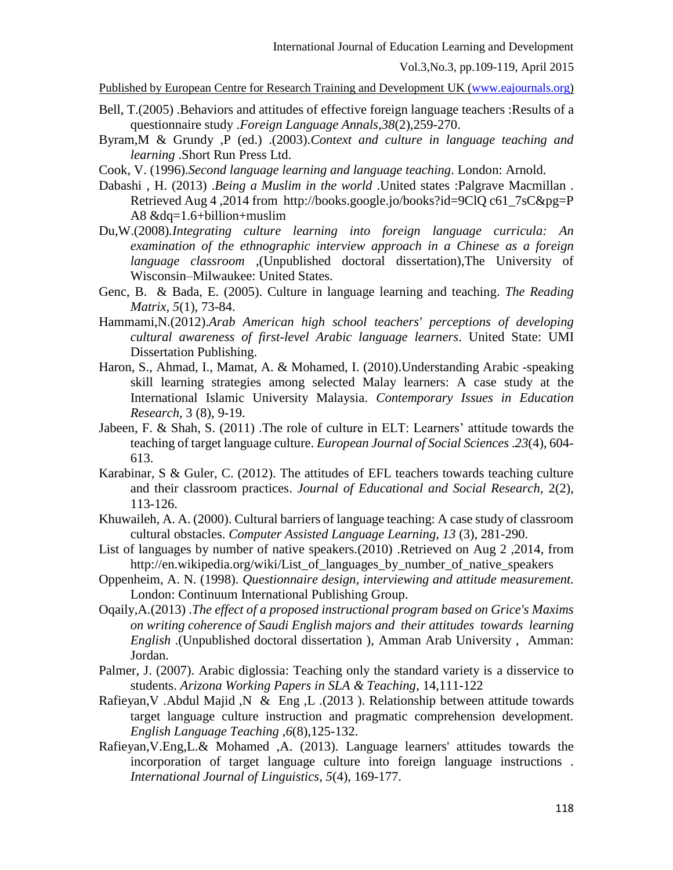```
Vol.3,No.3, pp.109-119, April 2015
```
Published by European Centre for Research Training and Development UK [\(www.eajournals.org\)](http://www.eajournals.org/)

- Bell, T.(2005) .Behaviors and attitudes of effective foreign language teachers :Results of a questionnaire study .*Foreign Language Annals*,*38*(2),259-270.
- Byram,M & Grundy ,P (ed.) .(2003).*Context and culture in language teaching and learning* .Short Run Press Ltd.
- Cook, V. (1996).*Second language learning and language teaching*. London: Arnold.
- Dabashi , H. (2013) .*Being a Muslim in the world* .United states :Palgrave Macmillan . Retrieved Aug 4 ,2014 from [http://books.google.jo/books?id=9ClQ c61\\_7sC&pg=P](http://books.google.jo/books?id=9ClQ%20c61_7sC&pg=P%20A8%20&dq=1.6+billion+muslim)  [A8 &dq=1.6+billion+muslim](http://books.google.jo/books?id=9ClQ%20c61_7sC&pg=P%20A8%20&dq=1.6+billion+muslim)
- Du,W.(2008)*.Integrating culture learning into foreign language curricula: An examination of the ethnographic interview approach in a Chinese as a foreign language classroom* ,(Unpublished doctoral dissertation),The University of Wisconsin–Milwaukee: United States.
- Genc, B. & Bada, E. (2005). Culture in language learning and teaching. *The Reading Matrix, 5*(1), 73-84.
- Hammami,N.(2012).*Arab American high school teachers' perceptions of developing cultural awareness of first-level Arabic language learners*. United State: UMI Dissertation Publishing.
- Haron, S., Ahmad, I., Mamat, A. & Mohamed, I. (2010).Understanding Arabic -speaking skill learning strategies among selected Malay learners: A case study at the International Islamic University Malaysia. *Contemporary Issues in Education Research*, 3 (8), 9-19.
- Jabeen, F. & Shah, S. (2011) .The role of culture in ELT: Learners' attitude towards the teaching of target language culture. *European Journal of Social Sciences* .*23*(4), 604- 613.
- Karabinar, S & Guler, C. (2012). The attitudes of EFL teachers towards teaching culture and their classroom practices. *Journal of Educational and Social Research,* 2(2), 113-126.
- Khuwaileh, A. A. (2000). Cultural barriers of language teaching: A case study of classroom cultural obstacles. *Computer Assisted Language Learning, 13* (3), 281-290.
- List of languages by number of native speakers.(2010) .Retrieved on Aug 2 ,2014, from http://en.wikipedia.org/wiki/List of languages by number of native speakers
- Oppenheim, A. N. (1998). *Questionnaire design, interviewing and attitude measurement.*  London: Continuum International Publishing Group.
- Oqaily,A.(2013) .*The effect of a proposed instructional program based on Grice's Maxims on writing coherence of Saudi English majors and their attitudes towards learning English* .(Unpublished doctoral dissertation ), Amman Arab University , Amman: Jordan.
- Palmer, J. (2007). Arabic diglossia: Teaching only the standard variety is a disservice to students. *Arizona Working Papers in SLA & Teaching*, 14,111-122
- Rafieyan,V .Abdul Majid ,N & Eng ,L .(2013 ). Relationship between attitude towards target language culture instruction and pragmatic comprehension development. *English Language Teaching* ,*6*(8),125-132.
- Rafieyan,V.Eng,L.& Mohamed ,A. (2013). Language learners' attitudes towards the incorporation of target language culture into foreign language instructions *. International Journal of Linguistics*, *5*(4), 169-177.